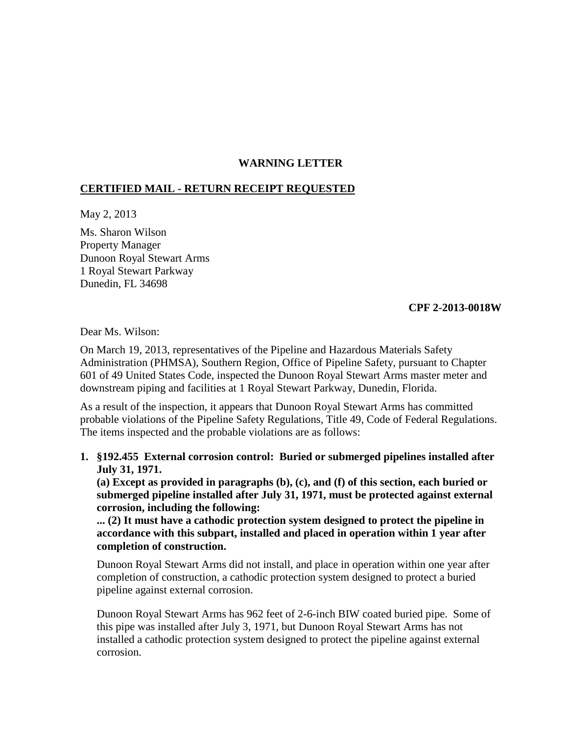# **WARNING LETTER**

## **CERTIFIED MAIL - RETURN RECEIPT REQUESTED**

May 2, 2013

Ms. Sharon Wilson Property Manager Dunoon Royal Stewart Arms 1 Royal Stewart Parkway Dunedin, FL 34698

### **CPF 2-2013-0018W**

Dear Ms. Wilson:

On March 19, 2013, representatives of the Pipeline and Hazardous Materials Safety Administration (PHMSA), Southern Region, Office of Pipeline Safety, pursuant to Chapter 601 of 49 United States Code, inspected the Dunoon Royal Stewart Arms master meter and downstream piping and facilities at 1 Royal Stewart Parkway, Dunedin, Florida.

As a result of the inspection, it appears that Dunoon Royal Stewart Arms has committed probable violations of the Pipeline Safety Regulations, Title 49, Code of Federal Regulations. The items inspected and the probable violations are as follows:

**1. §192.455 External corrosion control: Buried or submerged pipelines installed after July 31, 1971.**

**(a) Except as provided in paragraphs (b), (c), and (f) of this section, each buried or submerged pipeline installed after July 31, 1971, must be protected against external corrosion, including the following:** 

**... (2) It must have a cathodic protection system designed to protect the pipeline in accordance with this subpart, installed and placed in operation within 1 year after completion of construction.** 

Dunoon Royal Stewart Arms did not install, and place in operation within one year after completion of construction, a cathodic protection system designed to protect a buried pipeline against external corrosion.

Dunoon Royal Stewart Arms has 962 feet of 2-6-inch BIW coated buried pipe. Some of this pipe was installed after July 3, 1971, but Dunoon Royal Stewart Arms has not installed a cathodic protection system designed to protect the pipeline against external corrosion.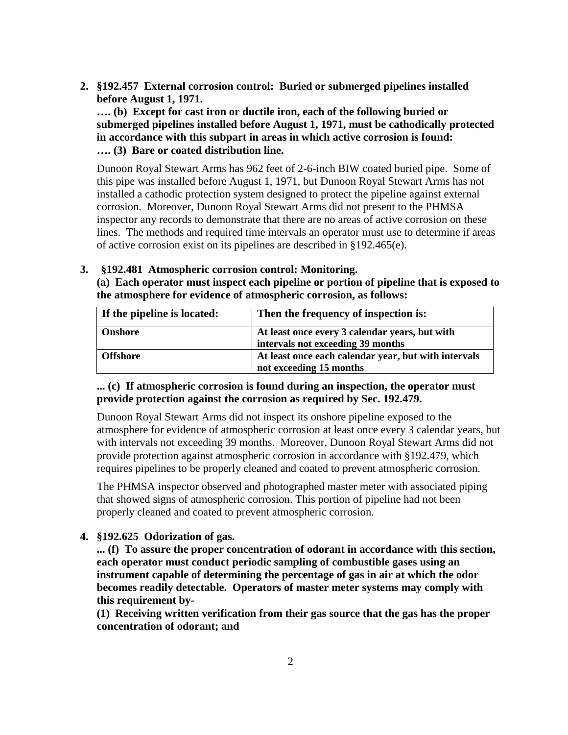**2. §192.457 External corrosion control: Buried or submerged pipelines installed before August 1, 1971.** 

**…. (b) Except for cast iron or ductile iron, each of the following buried or submerged pipelines installed before August 1, 1971, must be cathodically protected in accordance with this subpart in areas in which active corrosion is found: …. (3) Bare or coated distribution line.** 

Dunoon Royal Stewart Arms has 962 feet of 2-6-inch BIW coated buried pipe. Some of this pipe was installed before August 1, 1971, but Dunoon Royal Stewart Arms has not installed a cathodic protection system designed to protect the pipeline against external corrosion. Moreover, Dunoon Royal Stewart Arms did not present to the PHMSA inspector any records to demonstrate that there are no areas of active corrosion on these lines. The methods and required time intervals an operator must use to determine if areas of active corrosion exist on its pipelines are described in §192.465(e).

## **3. §192.481 Atmospheric corrosion control: Monitoring.**

**(a) Each operator must inspect each pipeline or portion of pipeline that is exposed to the atmosphere for evidence of atmospheric corrosion, as follows:**

| If the pipeline is located: | Then the frequency of inspection is:                                                |
|-----------------------------|-------------------------------------------------------------------------------------|
| <b>Onshore</b>              | At least once every 3 calendar years, but with<br>intervals not exceeding 39 months |
| <b>Offshore</b>             | At least once each calendar year, but with intervals<br>not exceeding 15 months     |

## **... (c) If atmospheric corrosion is found during an inspection, the operator must provide protection against the corrosion as required by Sec. 192.479.**

Dunoon Royal Stewart Arms did not inspect its onshore pipeline exposed to the atmosphere for evidence of atmospheric corrosion at least once every 3 calendar years, but with intervals not exceeding 39 months. Moreover, Dunoon Royal Stewart Arms did not provide protection against atmospheric corrosion in accordance with §192.479, which requires pipelines to be properly cleaned and coated to prevent atmospheric corrosion.

The PHMSA inspector observed and photographed master meter with associated piping that showed signs of atmospheric corrosion. This portion of pipeline had not been properly cleaned and coated to prevent atmospheric corrosion.

## **4. §192.625 Odorization of gas.**

**... (f) To assure the proper concentration of odorant in accordance with this section, each operator must conduct periodic sampling of combustible gases using an instrument capable of determining the percentage of gas in air at which the odor becomes readily detectable. Operators of master meter systems may comply with this requirement by-**

**(1) Receiving written verification from their gas source that the gas has the proper concentration of odorant; and**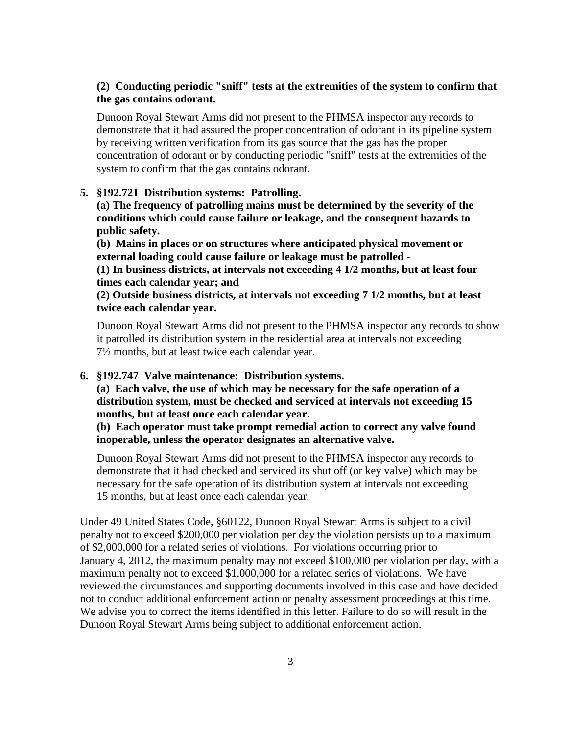## **(2) Conducting periodic "sniff" tests at the extremities of the system to confirm that the gas contains odorant.**

Dunoon Royal Stewart Arms did not present to the PHMSA inspector any records to demonstrate that it had assured the proper concentration of odorant in its pipeline system by receiving written verification from its gas source that the gas has the proper concentration of odorant or by conducting periodic "sniff" tests at the extremities of the system to confirm that the gas contains odorant.

#### **5. §192.721 Distribution systems: Patrolling.**

**(a) The frequency of patrolling mains must be determined by the severity of the conditions which could cause failure or leakage, and the consequent hazards to public safety.**

**(b) Mains in places or on structures where anticipated physical movement or external loading could cause failure or leakage must be patrolled -** 

**(1) In business districts, at intervals not exceeding 4 1/2 months, but at least four times each calendar year; and** 

**(2) Outside business districts, at intervals not exceeding 7 1/2 months, but at least twice each calendar year.**

Dunoon Royal Stewart Arms did not present to the PHMSA inspector any records to show it patrolled its distribution system in the residential area at intervals not exceeding 7½ months, but at least twice each calendar year.

## **6. §192.747 Valve maintenance: Distribution systems.**

**(a) Each valve, the use of which may be necessary for the safe operation of a distribution system, must be checked and serviced at intervals not exceeding 15 months, but at least once each calendar year.**

**(b) Each operator must take prompt remedial action to correct any valve found inoperable, unless the operator designates an alternative valve.**

Dunoon Royal Stewart Arms did not present to the PHMSA inspector any records to demonstrate that it had checked and serviced its shut off (or key valve) which may be necessary for the safe operation of its distribution system at intervals not exceeding 15 months, but at least once each calendar year.

Under 49 United States Code, §60122, Dunoon Royal Stewart Arms is subject to a civil penalty not to exceed \$200,000 per violation per day the violation persists up to a maximum of \$2,000,000 for a related series of violations. For violations occurring prior to January 4, 2012, the maximum penalty may not exceed \$100,000 per violation per day, with a maximum penalty not to exceed \$1,000,000 for a related series of violations. We have reviewed the circumstances and supporting documents involved in this case and have decided not to conduct additional enforcement action or penalty assessment proceedings at this time. We advise you to correct the items identified in this letter. Failure to do so will result in the Dunoon Royal Stewart Arms being subject to additional enforcement action.